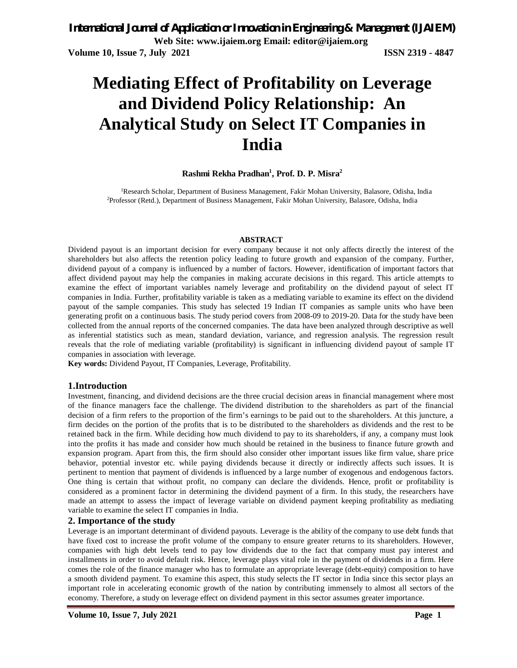# **Mediating Effect of Profitability on Leverage and Dividend Policy Relationship: An Analytical Study on Select IT Companies in India**

### **Rashmi Rekha Pradhan<sup>1</sup> , Prof. D. P. Misra<sup>2</sup>**

<sup>1</sup>Research Scholar, Department of Business Management, Fakir Mohan University, Balasore, Odisha, India 2Professor (Retd.), Department of Business Management, Fakir Mohan University, Balasore, Odisha, India

#### **ABSTRACT**

Dividend payout is an important decision for every company because it not only affects directly the interest of the shareholders but also affects the retention policy leading to future growth and expansion of the company. Further, dividend payout of a company is influenced by a number of factors. However, identification of important factors that affect dividend payout may help the companies in making accurate decisions in this regard. This article attempts to examine the effect of important variables namely leverage and profitability on the dividend payout of select IT companies in India. Further, profitability variable is taken as a mediating variable to examine its effect on the dividend payout of the sample companies. This study has selected 19 Indian IT companies as sample units who have been generating profit on a continuous basis. The study period covers from 2008-09 to 2019-20. Data for the study have been collected from the annual reports of the concerned companies. The data have been analyzed through descriptive as well as inferential statistics such as mean, standard deviation, variance, and regression analysis. The regression result reveals that the role of mediating variable (profitability) is significant in influencing dividend payout of sample IT companies in association with leverage.

**Key words:** Dividend Payout, IT Companies, Leverage, Profitability.

#### **1.Introduction**

Investment, financing, and dividend decisions are the three crucial decision areas in financial management where most of the finance managers face the challenge. The dividend distribution to the shareholders as part of the financial decision of a firm refers to the proportion of the firm's earnings to be paid out to the shareholders. At this juncture, a firm decides on the portion of the profits that is to be distributed to the shareholders as dividends and the rest to be retained back in the firm. While deciding how much dividend to pay to its shareholders, if any, a company must look into the profits it has made and consider how much should be retained in the business to finance future growth and expansion program. Apart from this, the firm should also consider other important issues like firm value, share price behavior, potential investor etc. while paying dividends because it directly or indirectly affects such issues. It is pertinent to mention that payment of dividends is influenced by a large number of exogenous and endogenous factors. One thing is certain that without profit, no company can declare the dividends. Hence, profit or profitability is considered as a prominent factor in determining the dividend payment of a firm. In this study, the researchers have made an attempt to assess the impact of leverage variable on dividend payment keeping profitability as mediating variable to examine the select IT companies in India.

#### **2. Importance of the study**

Leverage is an important determinant of dividend payouts. Leverage is the ability of the company to use debt funds that have fixed cost to increase the profit volume of the company to ensure greater returns to its shareholders. However, companies with high debt levels tend to pay low dividends due to the fact that company must pay interest and installments in order to avoid default risk. Hence, leverage plays vital role in the payment of dividends in a firm. Here comes the role of the finance manager who has to formulate an appropriate leverage (debt-equity) composition to have a smooth dividend payment. To examine this aspect, this study selects the IT sector in India since this sector plays an important role in accelerating economic growth of the nation by contributing immensely to almost all sectors of the economy. Therefore, a study on leverage effect on dividend payment in this sector assumes greater importance.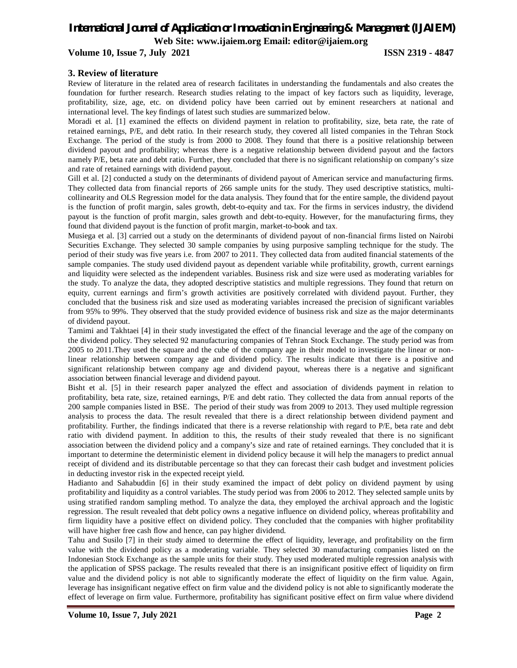## *International Journal of Application or Innovation in Engineering & Management (IJAIEM)*

**Web Site: www.ijaiem.org Email: editor@ijaiem.org**

#### **Volume 10, Issue 7, July 2021 ISSN 2319 - 4847**

#### **3. Review of literature**

Review of literature in the related area of research facilitates in understanding the fundamentals and also creates the foundation for further research. Research studies relating to the impact of key factors such as liquidity, leverage, profitability, size, age, etc. on dividend policy have been carried out by eminent researchers at national and international level. The key findings of latest such studies are summarized below.

Moradi et al. [1] examined the effects on dividend payment in relation to profitability, size, beta rate, the rate of retained earnings, P/E, and debt ratio. In their research study, they covered all listed companies in the Tehran Stock Exchange. The period of the study is from 2000 to 2008. They found that there is a positive relationship between dividend payout and profitability; whereas there is a negative relationship between dividend payout and the factors namely P/E, beta rate and debt ratio. Further, they concluded that there is no significant relationship on company's size and rate of retained earnings with dividend payout.

Gill et al. [2] conducted a study on the determinants of dividend payout of American service and manufacturing firms. They collected data from financial reports of 266 sample units for the study. They used descriptive statistics, multicollinearity and OLS Regression model for the data analysis. They found that for the entire sample, the dividend payout is the function of profit margin, sales growth, debt-to-equity and tax. For the firms in services industry, the dividend payout is the function of profit margin, sales growth and debt-to-equity. However, for the manufacturing firms, they found that dividend payout is the function of profit margin, market-to-book and tax.

Musiega et al. [3] carried out a study on the determinants of dividend payout of non-financial firms listed on Nairobi Securities Exchange. They selected 30 sample companies by using purposive sampling technique for the study. The period of their study was five years i.e. from 2007 to 2011. They collected data from audited financial statements of the sample companies. The study used dividend payout as dependent variable while profitability, growth, current earnings and liquidity were selected as the independent variables. Business risk and size were used as moderating variables for the study. To analyze the data, they adopted descriptive statistics and multiple regressions. They found that return on equity, current earnings and firm's growth activities are positively correlated with dividend payout. Further, they concluded that the business risk and size used as moderating variables increased the precision of significant variables from 95% to 99%. They observed that the study provided evidence of business risk and size as the major determinants of dividend payout.

Tamimi and Takhtaei [4] in their study investigated the effect of the financial leverage and the age of the company on the dividend policy. They selected 92 manufacturing companies of Tehran Stock Exchange. The study period was from 2005 to 2011.They used the square and the cube of the company age in their model to investigate the linear or nonlinear relationship between company age and dividend policy. The results indicate that there is a positive and significant relationship between company age and dividend payout, whereas there is a negative and significant association between financial leverage and dividend payout.

Bisht et al. [5] in their research paper analyzed the effect and association of dividends payment in relation to profitability, beta rate, size, retained earnings, P/E and debt ratio. They collected the data from annual reports of the 200 sample companies listed in BSE. The period of their study was from 2009 to 2013. They used multiple regression analysis to process the data. The result revealed that there is a direct relationship between dividend payment and profitability. Further, the findings indicated that there is a reverse relationship with regard to P/E, beta rate and debt ratio with dividend payment. In addition to this, the results of their study revealed that there is no significant association between the dividend policy and a company's size and rate of retained earnings. They concluded that it is important to determine the deterministic element in dividend policy because it will help the managers to predict annual receipt of dividend and its distributable percentage so that they can forecast their cash budget and investment policies in deducting investor risk in the expected receipt yield.

Hadianto and Sahabuddin [6] in their study examined the impact of debt policy on dividend payment by using profitability and liquidity as a control variables. The study period was from 2006 to 2012. They selected sample units by using stratified random sampling method. To analyze the data, they employed the archival approach and the logistic regression. The result revealed that debt policy owns a negative influence on dividend policy, whereas profitability and firm liquidity have a positive effect on dividend policy. They concluded that the companies with higher profitability will have higher free cash flow and hence, can pay higher dividend.

Tahu and Susilo [7] in their study aimed to determine the effect of liquidity, leverage, and profitability on the firm value with the dividend policy as a moderating variable. They selected 30 manufacturing companies listed on the Indonesian Stock Exchange as the sample units for their study. They used moderated multiple regression analysis with the application of SPSS package. The results revealed that there is an insignificant positive effect of liquidity on firm value and the dividend policy is not able to significantly moderate the effect of liquidity on the firm value. Again, leverage has insignificant negative effect on firm value and the dividend policy is not able to significantly moderate the effect of leverage on firm value. Furthermore, profitability has significant positive effect on firm value where dividend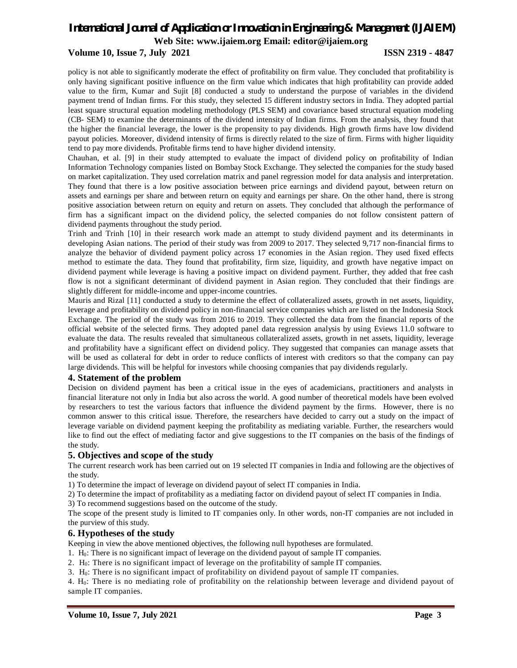#### **Volume 10, Issue 7, July 2021 ISSN 2319 - 4847**

policy is not able to significantly moderate the effect of profitability on firm value. They concluded that profitability is only having significant positive influence on the firm value which indicates that high profitability can provide added value to the firm, Kumar and Sujit [8] conducted a study to understand the purpose of variables in the dividend payment trend of Indian firms. For this study, they selected 15 different industry sectors in India. They adopted partial least square structural equation modeling methodology (PLS SEM) and covariance based structural equation modeling (CB- SEM) to examine the determinants of the dividend intensity of Indian firms. From the analysis, they found that the higher the financial leverage, the lower is the propensity to pay dividends. High growth firms have low dividend payout policies. Moreover, dividend intensity of firms is directly related to the size of firm. Firms with higher liquidity tend to pay more dividends. Profitable firms tend to have higher dividend intensity.

Chauhan, et al. [9] in their study attempted to evaluate the impact of dividend policy on profitability of Indian Information Technology companies listed on Bombay Stock Exchange. They selected the companies for the study based on market capitalization. They used correlation matrix and panel regression model for data analysis and interpretation. They found that there is a low positive association between price earnings and dividend payout, between return on assets and earnings per share and between return on equity and earnings per share. On the other hand, there is strong positive association between return on equity and return on assets. They concluded that although the performance of firm has a significant impact on the dividend policy, the selected companies do not follow consistent pattern of dividend payments throughout the study period.

Trinh and Trinh [10] in their research work made an attempt to study dividend payment and its determinants in developing Asian nations. The period of their study was from 2009 to 2017. They selected 9,717 non-financial firms to analyze the behavior of dividend payment policy across 17 economies in the Asian region. They used fixed effects method to estimate the data. They found that profitability, firm size, liquidity, and growth have negative impact on dividend payment while leverage is having a positive impact on dividend payment. Further, they added that free cash flow is not a significant determinant of dividend payment in Asian region. They concluded that their findings are slightly different for middle-income and upper-income countries.

Mauris and Rizal [11] conducted a study to determine the effect of collateralized assets, growth in net assets, liquidity, leverage and profitability on dividend policy in non-financial service companies which are listed on the Indonesia Stock Exchange. The period of the study was from 2016 to 2019. They collected the data from the financial reports of the official website of the selected firms. They adopted panel data regression analysis by using Eviews 11.0 software to evaluate the data. The results revealed that simultaneous collateralized assets, growth in net assets, liquidity, leverage and profitability have a significant effect on dividend policy. They suggested that companies can manage assets that will be used as collateral for debt in order to reduce conflicts of interest with creditors so that the company can pay large dividends. This will be helpful for investors while choosing companies that pay dividends regularly.

#### **4. Statement of the problem**

Decision on dividend payment has been a critical issue in the eyes of academicians, practitioners and analysts in financial literature not only in India but also across the world. A good number of theoretical models have been evolved by researchers to test the various factors that influence the dividend payment by the firms. However, there is no common answer to this critical issue. Therefore, the researchers have decided to carry out a study on the impact of leverage variable on dividend payment keeping the profitability as mediating variable. Further, the researchers would like to find out the effect of mediating factor and give suggestions to the IT companies on the basis of the findings of the study.

#### **5. Objectives and scope of the study**

The current research work has been carried out on 19 selected IT companies in India and following are the objectives of the study.

1) To determine the impact of leverage on dividend payout of select IT companies in India.

2) To determine the impact of profitability as a mediating factor on dividend payout of select IT companies in India.

3) To recommend suggestions based on the outcome of the study.

The scope of the present study is limited to IT companies only. In other words, non-IT companies are not included in the purview of this study.

#### **6. Hypotheses of the study**

Keeping in view the above mentioned objectives, the following null hypotheses are formulated.

1. H0: There is no significant impact of leverage on the dividend payout of sample IT companies.

2. H0: There is no significant impact of leverage on the profitability of sample IT companies.

3. H0: There is no significant impact of profitability on dividend payout of sample IT companies.

4. H0: There is no mediating role of profitability on the relationship between leverage and dividend payout of sample IT companies.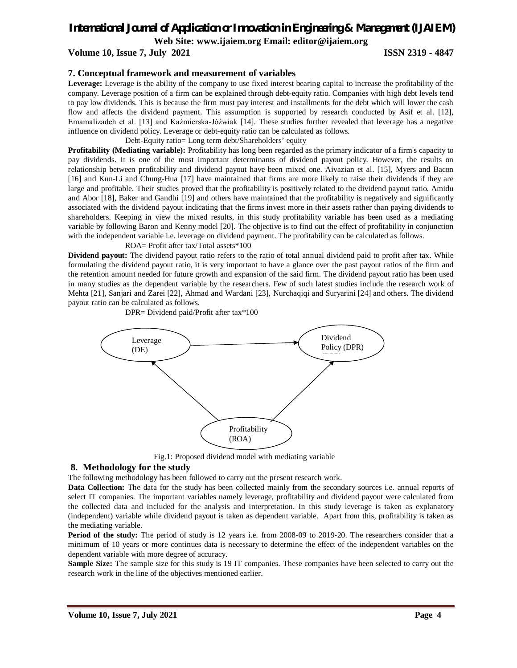## *International Journal of Application or Innovation in Engineering & Management (IJAIEM)*

**Web Site: www.ijaiem.org Email: editor@ijaiem.org**

**Volume 10, Issue 7, July 2021 ISSN 2319 - 4847** 

#### **7. Conceptual framework and measurement of variables**

**Leverage:** Leverage is the ability of the company to use fixed interest bearing capital to increase the profitability of the company. Leverage position of a firm can be explained through debt-equity ratio. Companies with high debt levels tend to pay low dividends. This is because the firm must pay interest and installments for the debt which will lower the cash flow and affects the dividend payment. This assumption is supported by research conducted by Asif et al. [12], Emamalizadeh et al. [13] and Kaźmierska-Jóźwiak [14]. These studies further revealed that leverage has a negative influence on dividend policy. Leverage or debt-equity ratio can be calculated as follows.

Debt-Equity ratio= Long term debt/Shareholders' equity

**Profitability (Mediating variable):** Profitability has long been regarded as the primary indicator of a firm's capacity to pay dividends. It is one of the most important determinants of dividend payout policy. However, the results on relationship between profitability and dividend payout have been mixed one. Aivazian et al. [15], Myers and Bacon [16] and Kun-Li and Chung-Hua [17] have maintained that firms are more likely to raise their dividends if they are large and profitable. Their studies proved that the profitability is positively related to the dividend payout ratio. Amidu and Abor [18], Baker and Gandhi [19] and others have maintained that the profitability is negatively and significantly associated with the dividend payout indicating that the firms invest more in their assets rather than paying dividends to shareholders. Keeping in view the mixed results, in this study profitability variable has been used as a mediating variable by following Baron and Kenny model [20]. The objective is to find out the effect of profitability in conjunction with the independent variable i.e. leverage on dividend payment. The profitability can be calculated as follows.

ROA= Profit after tax/Total assets\*100

DPR= Dividend paid/Profit after tax\*100

**Dividend payout:** The dividend payout ratio refers to the ratio of total annual dividend paid to profit after tax. While formulating the dividend payout ratio, it is very important to have a glance over the past payout ratios of the firm and the retention amount needed for future growth and expansion of the said firm. The dividend payout ratio has been used in many studies as the dependent variable by the researchers. Few of such latest studies include the research work of Mehta [21], Sanjari and Zarei [22], Ahmad and Wardani [23], Nurchaqiqi and Suryarini [24] and others. The dividend payout ratio can be calculated as follows.



Fig.1: Proposed dividend model with mediating variable

#### **8. Methodology for the study**

The following methodology has been followed to carry out the present research work.

**Data Collection:** The data for the study has been collected mainly from the secondary sources i.e. annual reports of select IT companies. The important variables namely leverage, profitability and dividend payout were calculated from the collected data and included for the analysis and interpretation. In this study leverage is taken as explanatory (independent) variable while dividend payout is taken as dependent variable. Apart from this, profitability is taken as the mediating variable.

**Period of the study:** The period of study is 12 years i.e. from 2008-09 to 2019-20. The researchers consider that a minimum of 10 years or more continues data is necessary to determine the effect of the independent variables on the dependent variable with more degree of accuracy.

**Sample Size:** The sample size for this study is 19 IT companies. These companies have been selected to carry out the research work in the line of the objectives mentioned earlier.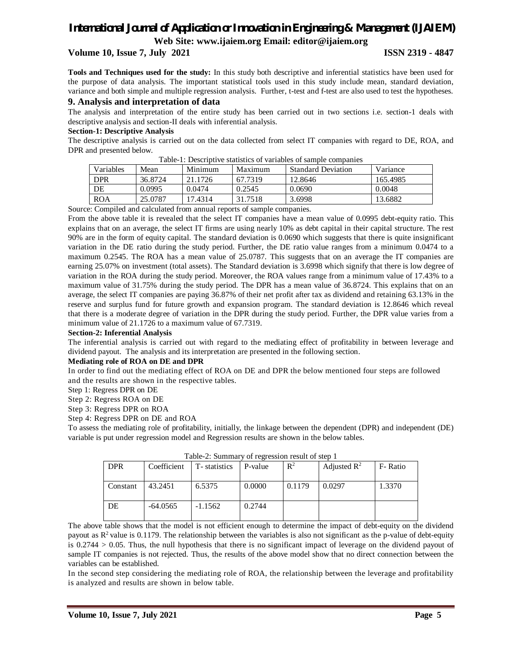## **Volume 10, Issue 7, July 2021 ISSN 2319 - 4847**

**Tools and Techniques used for the study:** In this study both descriptive and inferential statistics have been used for the purpose of data analysis. The important statistical tools used in this study include mean, standard deviation, variance and both simple and multiple regression analysis. Further, t-test and f-test are also used to test the hypotheses.

#### **9. Analysis and interpretation of data**

The analysis and interpretation of the entire study has been carried out in two sections i.e. section-1 deals with descriptive analysis and section-II deals with inferential analysis.

#### **Section-1: Descriptive Analysis**

The descriptive analysis is carried out on the data collected from select IT companies with regard to DE, ROA, and DPR and presented below.

| Tuble 1. Describitive suitistics of variables of sufficie companies |         |         |         |                           |          |  |  |
|---------------------------------------------------------------------|---------|---------|---------|---------------------------|----------|--|--|
| Variables                                                           | Mean    | Minimum | Maximum | <b>Standard Deviation</b> | Variance |  |  |
| <b>DPR</b>                                                          | 36.8724 | 21.1726 | 67.7319 | 12.8646                   | 165.4985 |  |  |
| DE                                                                  | 0.0995  | 0.0474  | 0.2545  | 0.0690                    | 0.0048   |  |  |
| <b>ROA</b>                                                          | 25.0787 | 17.4314 | 31.7518 | 3.6998                    | 13.6882  |  |  |

Table-1: Descriptive statistics of variables of sample companies

Source: Compiled and calculated from annual reports of sample companies.

From the above table it is revealed that the select IT companies have a mean value of 0.0995 debt-equity ratio. This explains that on an average, the select IT firms are using nearly 10% as debt capital in their capital structure. The rest 90% are in the form of equity capital. The standard deviation is 0.0690 which suggests that there is quite insignificant variation in the DE ratio during the study period. Further, the DE ratio value ranges from a minimum 0.0474 to a maximum 0.2545. The ROA has a mean value of 25.0787. This suggests that on an average the IT companies are earning 25.07% on investment (total assets). The Standard deviation is 3.6998 which signify that there is low degree of variation in the ROA during the study period. Moreover, the ROA values range from a minimum value of 17.43% to a maximum value of 31.75% during the study period. The DPR has a mean value of 36.8724. This explains that on an average, the select IT companies are paying 36.87% of their net profit after tax as dividend and retaining 63.13% in the reserve and surplus fund for future growth and expansion program. The standard deviation is 12.8646 which reveal that there is a moderate degree of variation in the DPR during the study period. Further, the DPR value varies from a minimum value of 21.1726 to a maximum value of 67.7319.

#### **Section-2: Inferential Analysis**

The inferential analysis is carried out with regard to the mediating effect of profitability in between leverage and dividend payout. The analysis and its interpretation are presented in the following section.

#### **Mediating role of ROA on DE and DPR**

In order to find out the mediating effect of ROA on DE and DPR the below mentioned four steps are followed and the results are shown in the respective tables.

Step 1: Regress DPR on DE

Step 2: Regress ROA on DE

Step 3: Regress DPR on ROA

Step 4: Regress DPR on DE and ROA

To assess the mediating role of profitability, initially, the linkage between the dependent (DPR) and independent (DE) variable is put under regression model and Regression results are shown in the below tables.

| I able-2. Summaly of regression result of step 1 |             |              |         |                |                         |         |  |
|--------------------------------------------------|-------------|--------------|---------|----------------|-------------------------|---------|--|
| <b>DPR</b>                                       | Coefficient | T-statistics | P-value | $\mathbb{R}^2$ | Adjusted $\mathbb{R}^2$ | F-Ratio |  |
|                                                  |             |              |         |                |                         |         |  |
|                                                  |             |              |         |                |                         |         |  |
| Constant                                         | 43.2451     | 6.5375       | 0.0000  | 0.1179         | 0.0297                  | 1.3370  |  |
|                                                  |             |              |         |                |                         |         |  |
|                                                  |             |              |         |                |                         |         |  |
| DE                                               | $-64.0565$  | $-1.1562$    | 0.2744  |                |                         |         |  |
|                                                  |             |              |         |                |                         |         |  |
|                                                  |             |              |         |                |                         |         |  |

The above table shows that the model is not efficient enough to determine the impact of debt-equity on the dividend payout as  $R^2$  value is 0.1179. The relationship between the variables is also not significant as the p-value of debt-equity is 0.2744 > 0.05. Thus, the null hypothesis that there is no significant impact of leverage on the dividend payout of sample IT companies is not rejected. Thus, the results of the above model show that no direct connection between the variables can be established.

In the second step considering the mediating role of ROA, the relationship between the leverage and profitability is analyzed and results are shown in below table.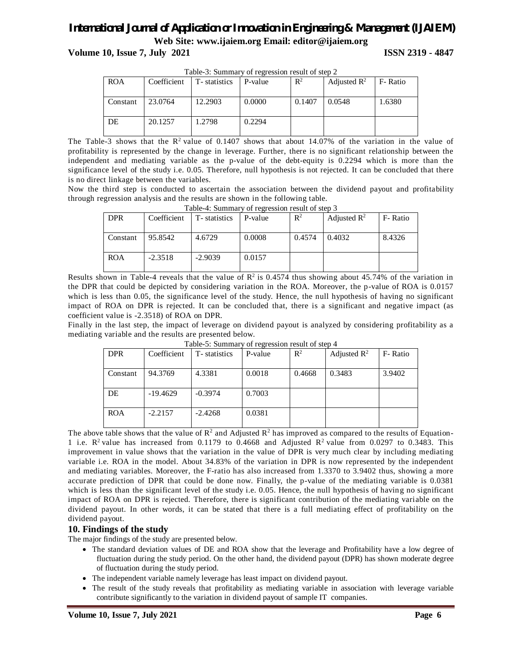**Volume 10, Issue 7, July 2021 ISSN 2319 - 4847** 

| Table-5. Summary of regression result of step $\mathbb Z$ |             |              |         |                |                         |          |  |
|-----------------------------------------------------------|-------------|--------------|---------|----------------|-------------------------|----------|--|
| <b>ROA</b>                                                | Coefficient | T-statistics | P-value | $\mathbb{R}^2$ | Adjusted $\mathbb{R}^2$ | F- Ratio |  |
| Constant                                                  | 23.0764     | 12.2903      | 0.0000  | 0.1407         | 0.0548                  | 1.6380   |  |
| DE                                                        | 20.1257     | 1.2798       | 0.2294  |                |                         |          |  |

Table-3: Summary of regression result of step 2

The Table-3 shows that the  $\mathbb{R}^2$  value of 0.1407 shows that about 14.07% of the variation in the value of profitability is represented by the change in leverage. Further, there is no significant relationship between the independent and mediating variable as the p-value of the debt-equity is 0.2294 which is more than the significance level of the study i.e. 0.05. Therefore, null hypothesis is not rejected. It can be concluded that there is no direct linkage between the variables.

Now the third step is conducted to ascertain the association between the dividend payout and profitability through regression analysis and the results are shown in the following table.

| Table-4. Summary or regression result or step 3 |             |              |         |                |                         |         |
|-------------------------------------------------|-------------|--------------|---------|----------------|-------------------------|---------|
| <b>DPR</b>                                      | Coefficient | T-statistics | P-value | $\mathbb{R}^2$ | Adjusted $\mathbb{R}^2$ | F-Ratio |
|                                                 |             |              |         |                |                         |         |
| Constant                                        | 95.8542     | 4.6729       | 0.0008  | 0.4574         | 0.4032                  | 8.4326  |
|                                                 |             |              |         |                |                         |         |
| <b>ROA</b>                                      | $-2.3518$   | $-2.9039$    | 0.0157  |                |                         |         |
|                                                 |             |              |         |                |                         |         |

Table-4: Summary of regression result of step 3

Results shown in Table-4 reveals that the value of  $\mathbb{R}^2$  is 0.4574 thus showing about 45.74% of the variation in the DPR that could be depicted by considering variation in the ROA. Moreover, the p-value of ROA is 0.0157 which is less than 0.05, the significance level of the study. Hence, the null hypothesis of having no significant impact of ROA on DPR is rejected. It can be concluded that, there is a significant and negative impact (as coefficient value is -2.3518) of ROA on DPR.

Finally in the last step, the impact of leverage on dividend payout is analyzed by considering profitability as a mediating variable and the results are presented below.

|            |             |              | — <del>.</del> |                |                         |         |
|------------|-------------|--------------|----------------|----------------|-------------------------|---------|
| <b>DPR</b> | Coefficient | T-statistics | P-value        | $\mathbb{R}^2$ | Adjusted $\mathbb{R}^2$ | F-Ratio |
| Constant   | 94.3769     | 4.3381       | 0.0018         | 0.4668         | 0.3483                  | 3.9402  |
| DE         | $-19.4629$  | $-0.3974$    | 0.7003         |                |                         |         |
| <b>ROA</b> | $-2.2157$   | $-2.4268$    | 0.0381         |                |                         |         |

Table-5: Summary of regression result of step 4

The above table shows that the value of  $\mathbb{R}^2$  and Adjusted  $\mathbb{R}^2$  has improved as compared to the results of Equation-1 i.e.  $R^2$  value has increased from 0.1179 to 0.4668 and Adjusted  $R^2$  value from 0.0297 to 0.3483. This improvement in value shows that the variation in the value of DPR is very much clear by including mediating variable i.e. ROA in the model. About 34.83% of the variation in DPR is now represented by the independent and mediating variables. Moreover, the F-ratio has also increased from 1.3370 to 3.9402 thus, showing a more accurate prediction of DPR that could be done now. Finally, the p-value of the mediating variable is 0.0381 which is less than the significant level of the study i.e. 0.05. Hence, the null hypothesis of having no significant impact of ROA on DPR is rejected. Therefore, there is significant contribution of the mediating variable on the dividend payout. In other words, it can be stated that there is a full mediating effect of profitability on the dividend payout.

#### **10. Findings of the study**

The major findings of the study are presented below.

- The standard deviation values of DE and ROA show that the leverage and Profitability have a low degree of fluctuation during the study period. On the other hand, the dividend payout (DPR) has shown moderate degree of fluctuation during the study period.
- The independent variable namely leverage has least impact on dividend payout.
- The result of the study reveals that profitability as mediating variable in association with leverage variable contribute significantly to the variation in dividend payout of sample IT companies.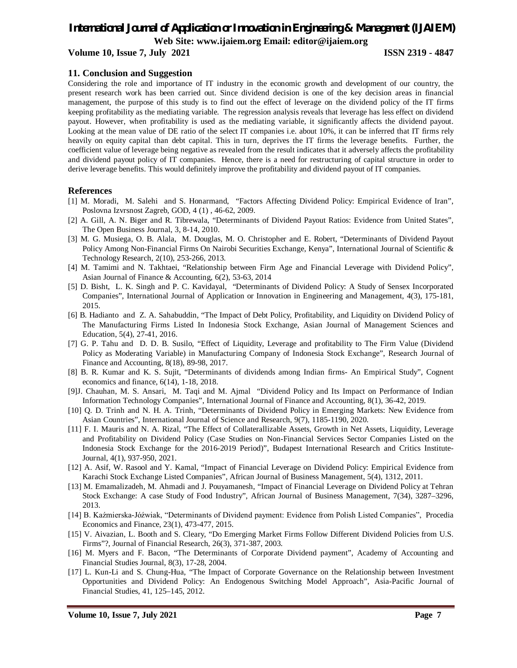## *International Journal of Application or Innovation in Engineering & Management (IJAIEM)*

**Web Site: www.ijaiem.org Email: editor@ijaiem.org**

**Volume 10, Issue 7, July 2021 ISSN 2319 - 4847** 

#### **11. Conclusion and Suggestion**

Considering the role and importance of IT industry in the economic growth and development of our country, the present research work has been carried out. Since dividend decision is one of the key decision areas in financial management, the purpose of this study is to find out the effect of leverage on the dividend policy of the IT firms keeping profitability as the mediating variable. The regression analysis reveals that leverage has less effect on dividend payout. However, when profitability is used as the mediating variable, it significantly affects the dividend payout. Looking at the mean value of DE ratio of the select IT companies i.e. about 10%, it can be inferred that IT firms rely heavily on equity capital than debt capital. This in turn, deprives the IT firms the leverage benefits. Further, the coefficient value of leverage being negative as revealed from the result indicates that it adversely affects the profitability and dividend payout policy of IT companies. Hence, there is a need for restructuring of capital structure in order to derive leverage benefits. This would definitely improve the profitability and dividend payout of IT companies.

#### **References**

- [1] M. Moradi, M. Salehi and S. Honarmand, "Factors Affecting Dividend Policy: Empirical Evidence of Iran", Poslovna Izvrsnost Zagreb, GOD, 4 (1) , 46-62, 2009.
- [2] A. Gill, A. N. Biger and R. Tibrewala, "Determinants of Dividend Payout Ratios: Evidence from United States", The Open Business Journal, 3, 8-14, 2010.
- [3] M. G. Musiega, O. B. Alala, M. Douglas, M. O. Christopher and E. Robert, "Determinants of Dividend Payout Policy Among Non-Financial Firms On Nairobi Securities Exchange, Kenya", International Journal of Scientific & Technology Research, 2(10), 253-266, 2013.
- [4] M. Tamimi and N. Takhtaei, "Relationship between Firm Age and Financial Leverage with Dividend Policy", Asian Journal of Finance & Accounting, 6(2), 53-63, 2014
- [5] D. Bisht, L. K. Singh and P. C. Kavidayal, "Determinants of Dividend Policy: A Study of Sensex Incorporated Companies", International Journal of Application or Innovation in Engineering and Management, 4(3), 175-181, 2015.
- [6] B. Hadianto and Z. A. Sahabuddin, "The Impact of Debt Policy, Profitability, and Liquidity on Dividend Policy of The Manufacturing Firms Listed In Indonesia Stock Exchange, Asian Journal of Management Sciences and Education, 5(4), 27-41, 2016.
- [7] G. P. Tahu and D. D. B. Susilo, "Effect of Liquidity, Leverage and profitability to The Firm Value (Dividend Policy as Moderating Variable) in Manufacturing Company of Indonesia Stock Exchange", Research Journal of Finance and Accounting, 8(18), 89-98, 2017.
- [8] B. R. Kumar and K. S. Sujit, "Determinants of dividends among Indian firms- An Empirical Study", Cognent economics and finance, 6(14), 1-18, 2018.
- [9]J. Chauhan, M. S. Ansari, M. Taqi and M. Ajmal "Dividend Policy and Its Impact on Performance of Indian Information Technology Companies", International Journal of Finance and Accounting, 8(1), 36-42, 2019.
- [10] Q. D. Trinh and N. H. A. Trinh, "Determinants of Dividend Policy in Emerging Markets: New Evidence from Asian Countries", International Journal of Science and Research, 9(7), 1185-1190, 2020.
- [11] F. I. Mauris and N. A. Rizal, "The Effect of Collaterallizable Assets, Growth in Net Assets, Liquidity, Leverage and Profitability on Dividend Policy (Case Studies on Non-Financial Services Sector Companies Listed on the Indonesia Stock Exchange for the 2016-2019 Period)", Budapest International Research and Critics Institute-Journal, 4(1), 937-950, 2021.
- [12] A. Asif, W. Rasool and Y. Kamal, "Impact of Financial Leverage on Dividend Policy: Empirical Evidence from Karachi Stock Exchange Listed Companies", African Journal of Business Management, 5(4), 1312, 2011.
- [13] M. Emamalizadeh, M. Ahmadi and J. Pouyamanesh, "Impact of Financial Leverage on Dividend Policy at Tehran Stock Exchange: A case Study of Food Industry", African Journal of Business Management, 7(34), 3287–3296, 2013.
- [14] B. Kaźmierska-Jóźwiak, "Determinants of Dividend payment: Evidence from Polish Listed Companies", Procedia Economics and Finance, 23(1), 473-477, 2015.
- [15] V. Aivazian, L. Booth and S. Cleary, "Do Emerging Market Firms Follow Different Dividend Policies from U.S. Firms"?, Journal of Financial Research, 26(3), 371-387, 2003.
- [16] M. Myers and F. Bacon, "The Determinants of Corporate Dividend payment", Academy of Accounting and Financial Studies Journal, 8(3), 17-28, 2004.
- [17] L. Kun-Li and S. Chung-Hua, "The Impact of Corporate Governance on the Relationship between Investment Opportunities and Dividend Policy: An Endogenous Switching Model Approach", Asia-Pacific Journal of Financial Studies, 41, 125–145, 2012.